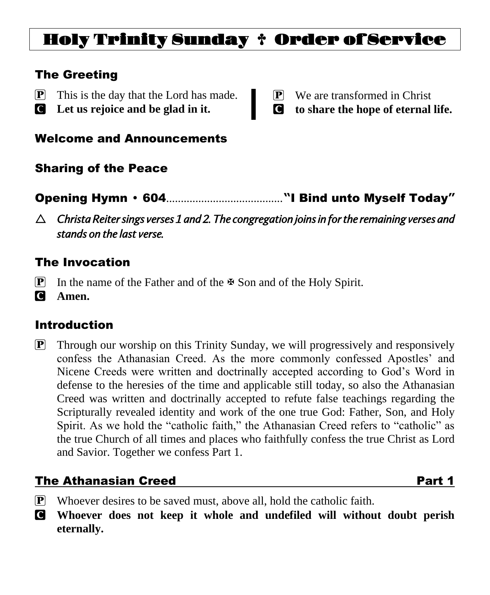# Holy Trinity Sunday † Order of Service

### The Greeting

- P This is the day that the Lord has made.
- C **Let us rejoice and be glad in it.**
- P We are transformed in Christ
- C **to share the hope of eternal life.**

#### Welcome and Announcements

# Sharing of the Peace

- Opening Hymn 604........................................**"**I Bind unto Myself Today**"**
- *Christa Reiter sings verses 1 and 2. The congregation joins in for the remaining verses and stands on the last verse.*

## The Invocation

- **P** In the name of the Father and of the  $\mathbb F$  Son and of the Holy Spirit.
- C **Amen.**

# Introduction

**P** Through our worship on this Trinity Sunday, we will progressively and responsively confess the Athanasian Creed. As the more commonly confessed Apostles' and Nicene Creeds were written and doctrinally accepted according to God's Word in defense to the heresies of the time and applicable still today, so also the Athanasian Creed was written and doctrinally accepted to refute false teachings regarding the Scripturally revealed identity and work of the one true God: Father, Son, and Holy Spirit. As we hold the "catholic faith," the Athanasian Creed refers to "catholic" as the true Church of all times and places who faithfully confess the true Christ as Lord and Savior. Together we confess Part 1.

# **The Athanasian Creed Part 1**

- $\mathbb{P}$  Whoever desires to be saved must, above all, hold the catholic faith.
- C **Whoever does not keep it whole and undefiled will without doubt perish eternally.**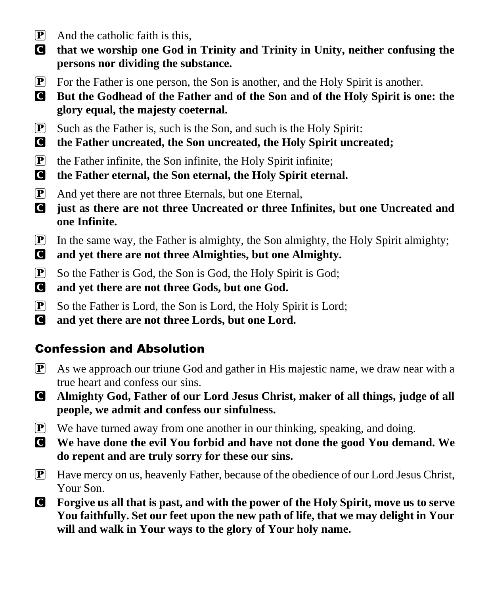- $\boxed{\mathbf{P}}$  And the catholic faith is this,
- C **that we worship one God in Trinity and Trinity in Unity, neither confusing the persons nor dividing the substance.**
- P For the Father is one person, the Son is another, and the Holy Spirit is another.
- C **But the Godhead of the Father and of the Son and of the Holy Spirit is one: the glory equal, the majesty coeternal.**
- P Such as the Father is, such is the Son, and such is the Holy Spirit:
- C **the Father uncreated, the Son uncreated, the Holy Spirit uncreated;**
- $\left| \mathbf{P} \right|$  the Father infinite, the Son infinite, the Holy Spirit infinite;
- C **the Father eternal, the Son eternal, the Holy Spirit eternal.**
- P And yet there are not three Eternals, but one Eternal,
- C **just as there are not three Uncreated or three Infinites, but one Uncreated and one Infinite.**
- P In the same way, the Father is almighty, the Son almighty, the Holy Spirit almighty;
- C **and yet there are not three Almighties, but one Almighty.**
- P So the Father is God, the Son is God, the Holy Spirit is God;
- C **and yet there are not three Gods, but one God.**
- P So the Father is Lord, the Son is Lord, the Holy Spirit is Lord;
- C **and yet there are not three Lords, but one Lord.**

# Confession and Absolution

- P As we approach our triune God and gather in His majestic name, we draw near with a true heart and confess our sins.
- C **Almighty God, Father of our Lord Jesus Christ, maker of all things, judge of all people, we admit and confess our sinfulness.**
- P We have turned away from one another in our thinking, speaking, and doing.
- C **We have done the evil You forbid and have not done the good You demand. We do repent and are truly sorry for these our sins.**
- $\boxed{\mathbf{P}}$  Have mercy on us, heavenly Father, because of the obedience of our Lord Jesus Christ, Your Son.
- C **Forgive us all that is past, and with the power of the Holy Spirit, move us to serve You faithfully. Set our feet upon the new path of life, that we may delight in Your will and walk in Your ways to the glory of Your holy name.**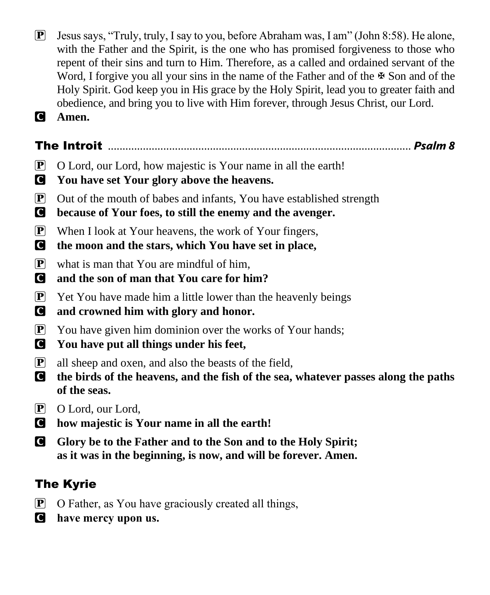- $\mathbf{P}$  Jesus says, "Truly, truly, I say to you, before Abraham was, I am" (John 8:58). He alone, with the Father and the Spirit, is the one who has promised forgiveness to those who repent of their sins and turn to Him. Therefore, as a called and ordained servant of the Word, I forgive you all your sins in the name of the Father and of the  $\mathbb{F}$  Son and of the Holy Spirit. God keep you in His grace by the Holy Spirit, lead you to greater faith and obedience, and bring you to live with Him forever, through Jesus Christ, our Lord.
- C **Amen.**

# The Introit ........................................................................................................ *Psalm 8*

- P O Lord, our Lord, how majestic is Your name in all the earth!
- C **You have set Your glory above the heavens.**
- P Out of the mouth of babes and infants, You have established strength
- C **because of Your foes, to still the enemy and the avenger.**
- $\boxed{\mathbf{P}}$  When I look at Your heavens, the work of Your fingers,
- C **the moon and the stars, which You have set in place,**
- $\boxed{\mathbf{P}}$  what is man that You are mindful of him,
- C **and the son of man that You care for him?**
- $\mathbf{P}$  Yet You have made him a little lower than the heavenly beings
- C **and crowned him with glory and honor.**
- P You have given him dominion over the works of Your hands;
- C **You have put all things under his feet,**
- P all sheep and oxen, and also the beasts of the field,
- C **the birds of the heavens, and the fish of the sea, whatever passes along the paths of the seas.**
- P O Lord, our Lord,
- C **how majestic is Your name in all the earth!**
- C **Glory be to the Father and to the Son and to the Holy Spirit; as it was in the beginning, is now, and will be forever. Amen.**

# The Kyrie

- $\overline{P}$  O Father, as You have graciously created all things,
- C **have mercy upon us.**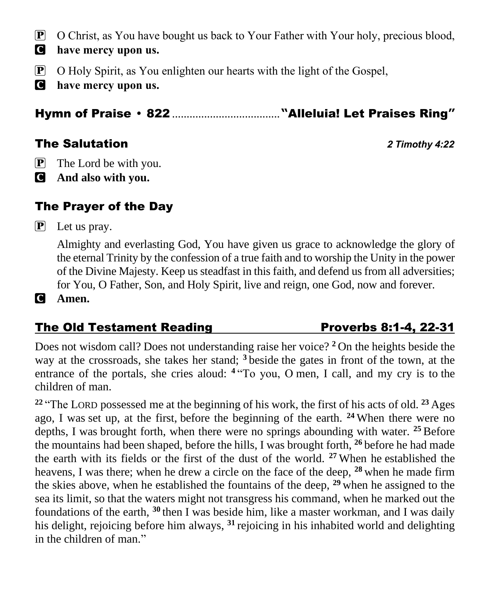- P O Christ, as You have bought us back to Your Father with Your holy, precious blood,
- C **have mercy upon us.**
- P O Holy Spirit, as You enlighten our hearts with the light of the Gospel,
- C **have mercy upon us.**

Hymn of Praise 822 .....................................**"**Alleluia! Let Praises Ring**"**

### The Salutation *2 Timothy 4:22*

- $\overline{P}$  The Lord be with you.
- C **And also with you.**

# The Prayer of the Day

P Let us pray.

Almighty and everlasting God, You have given us grace to acknowledge the glory of the eternal Trinity by the confession of a true faith and to worship the Unity in the power of the Divine Majesty. Keep us steadfast in this faith, and defend us from all adversities; for You, O Father, Son, and Holy Spirit, live and reign, one God, now and forever.

C **Amen.**

### The Old Testament Reading The Old Testament Reading

Does not wisdom call? Does not understanding raise her voice? **<sup>2</sup>** On the heights beside the way at the crossroads, she takes her stand; **<sup>3</sup>** beside the gates in front of the town, at the entrance of the portals, she cries aloud: <sup>4</sup> "To you, O men, I call, and my cry is to the children of man.

**<sup>22</sup>** "The LORD possessed me at the beginning of his work, the first of his acts of old. **<sup>23</sup>** Ages ago, I was set up, at the first, before the beginning of the earth. **<sup>24</sup>** When there were no depths, I was brought forth, when there were no springs abounding with water. **<sup>25</sup>** Before the mountains had been shaped, before the hills, I was brought forth, **<sup>26</sup>** before he had made the earth with its fields or the first of the dust of the world. **<sup>27</sup>** When he established the heavens, I was there; when he drew a circle on the face of the deep, **<sup>28</sup>** when he made firm the skies above, when he established the fountains of the deep, **<sup>29</sup>** when he assigned to the sea its limit, so that the waters might not transgress his command, when he marked out the foundations of the earth, **<sup>30</sup>** then I was beside him, like a master workman, and I was daily his delight, rejoicing before him always, **<sup>31</sup>** rejoicing in his inhabited world and delighting in the children of man."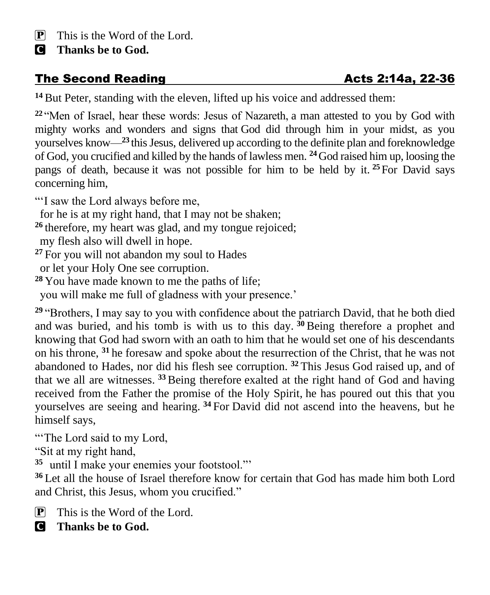C **Thanks be to God.**

# The Second Reading The Second Reading and Acts 2:14a, 22-36

**<sup>14</sup>** But Peter, standing with the eleven, lifted up his voice and addressed them:

**<sup>22</sup>** "Men of Israel, hear these words: Jesus of Nazareth, a man attested to you by God with mighty works and wonders and signs that God did through him in your midst, as you yourselves know—**<sup>23</sup>** this Jesus, delivered up according to the definite plan and foreknowledge of God, you crucified and killed by the hands of lawless men. **<sup>24</sup>**God raised him up, loosing the pangs of death, because it was not possible for him to be held by it. **<sup>25</sup>**For David says concerning him,

"'I saw the Lord always before me,

for he is at my right hand, that I may not be shaken;

- **<sup>26</sup>** therefore, my heart was glad, and my tongue rejoiced; my flesh also will dwell in hope.
- **<sup>27</sup>** For you will not abandon my soul to Hades or let your Holy One see corruption.
- **<sup>28</sup>** You have made known to me the paths of life;

you will make me full of gladness with your presence.'

**<sup>29</sup>** "Brothers, I may say to you with confidence about the patriarch David, that he both died and was buried, and his tomb is with us to this day. **<sup>30</sup>** Being therefore a prophet and knowing that God had sworn with an oath to him that he would set one of his descendants on his throne, **<sup>31</sup>** he foresaw and spoke about the resurrection of the Christ, that he was not abandoned to Hades, nor did his flesh see corruption. **<sup>32</sup>** This Jesus God raised up, and of that we all are witnesses. **<sup>33</sup>**Being therefore exalted at the right hand of God and having received from the Father the promise of the Holy Spirit, he has poured out this that you yourselves are seeing and hearing. **<sup>34</sup>** For David did not ascend into the heavens, but he himself says,

"The Lord said to my Lord,

"Sit at my right hand,

**35** until I make your enemies your footstool."'

**<sup>36</sup>** Let all the house of Israel therefore know for certain that God has made him both Lord and Christ, this Jesus, whom you crucified."

- $\mathbf{P}$  This is the Word of the Lord.
- C **Thanks be to God.**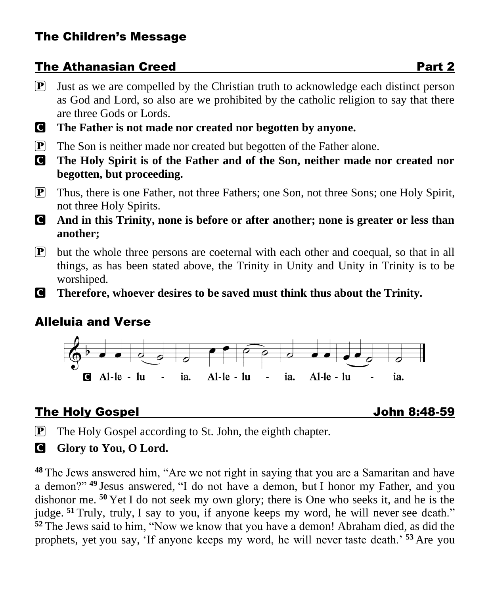## The Athanasian Creed **Part 2**

- $\mathbf{P}$  Just as we are compelled by the Christian truth to acknowledge each distinct person as God and Lord, so also are we prohibited by the catholic religion to say that there are three Gods or Lords.
- C **The Father is not made nor created nor begotten by anyone.**
- P The Son is neither made nor created but begotten of the Father alone.
- C **The Holy Spirit is of the Father and of the Son, neither made nor created nor begotten, but proceeding.**
- P Thus, there is one Father, not three Fathers; one Son, not three Sons; one Holy Spirit, not three Holy Spirits.
- C **And in this Trinity, none is before or after another; none is greater or less than another;**
- $\mathbf{P}$  but the whole three persons are coeternal with each other and coequal, so that in all things, as has been stated above, the Trinity in Unity and Unity in Trinity is to be worshiped.
- C **Therefore, whoever desires to be saved must think thus about the Trinity.**

# Alleluia and Verse



# The Holy Gospel John 8:48-59

 $\mathbf{P}$  The Holy Gospel according to St. John, the eighth chapter.

**G** Glory to You, O Lord.

**<sup>48</sup>** The Jews answered him, "Are we not right in saying that you are a Samaritan and have a demon?" **<sup>49</sup>** Jesus answered, "I do not have a demon, but I honor my Father, and you dishonor me. **<sup>50</sup>** Yet I do not seek my own glory; there is One who seeks it, and he is the judge. **<sup>51</sup>** Truly, truly, I say to you, if anyone keeps my word, he will never see death." **<sup>52</sup>** The Jews said to him, "Now we know that you have a demon! Abraham died, as did the prophets, yet you say, 'If anyone keeps my word, he will never taste death.' **<sup>53</sup>** Are you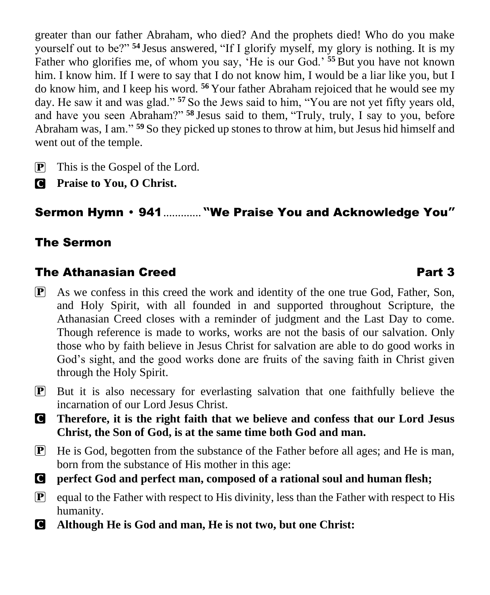greater than our father Abraham, who died? And the prophets died! Who do you make yourself out to be?" **<sup>54</sup>** Jesus answered, "If I glorify myself, my glory is nothing. It is my Father who glorifies me, of whom you say, 'He is our God.' **<sup>55</sup>** But you have not known him. I know him. If I were to say that I do not know him, I would be a liar like you, but I do know him, and I keep his word. **<sup>56</sup>** Your father Abraham rejoiced that he would see my day. He saw it and was glad." **<sup>57</sup>** So the Jews said to him, "You are not yet fifty years old, and have you seen Abraham?" **<sup>58</sup>** Jesus said to them, "Truly, truly, I say to you, before Abraham was, I am." **<sup>59</sup>** So they picked up stones to throw at him, but Jesus hid himself and went out of the temple.

- P This is the Gospel of the Lord.
- C **Praise to You, O Christ.**

# Sermon Hymn 941............. **"**We Praise You and Acknowledge You**"**

## The Sermon

# The Athanasian Creed **Part 3**

- $\mathbf{P}$  As we confess in this creed the work and identity of the one true God, Father, Son, and Holy Spirit, with all founded in and supported throughout Scripture, the Athanasian Creed closes with a reminder of judgment and the Last Day to come. Though reference is made to works, works are not the basis of our salvation. Only those who by faith believe in Jesus Christ for salvation are able to do good works in God's sight, and the good works done are fruits of the saving faith in Christ given through the Holy Spirit.
- P But it is also necessary for everlasting salvation that one faithfully believe the incarnation of our Lord Jesus Christ.
- C **Therefore, it is the right faith that we believe and confess that our Lord Jesus Christ, the Son of God, is at the same time both God and man.**
- P He is God, begotten from the substance of the Father before all ages; and He is man, born from the substance of His mother in this age:
- C **perfect God and perfect man, composed of a rational soul and human flesh;**
- $\boxed{\mathbf{P}}$  equal to the Father with respect to His divinity, less than the Father with respect to His humanity.
- C **Although He is God and man, He is not two, but one Christ:**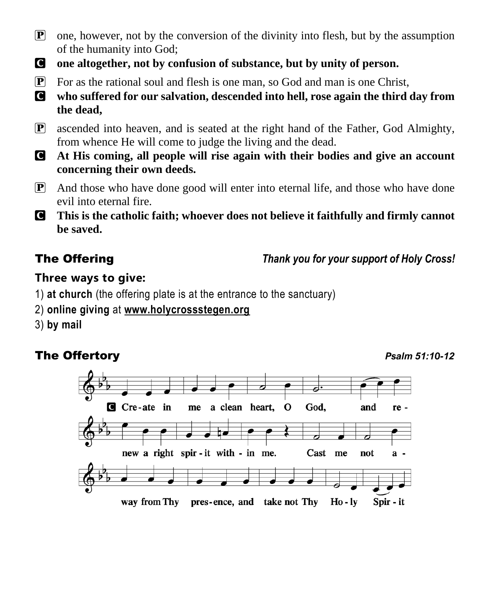- $\mathbf{P}$  one, however, not by the conversion of the divinity into flesh, but by the assumption of the humanity into God;
- C **one altogether, not by confusion of substance, but by unity of person.**
- P For as the rational soul and flesh is one man, so God and man is one Christ,
- C **who suffered for our salvation, descended into hell, rose again the third day from the dead,**
- P ascended into heaven, and is seated at the right hand of the Father, God Almighty, from whence He will come to judge the living and the dead.
- C **At His coming, all people will rise again with their bodies and give an account concerning their own deeds.**
- $\boxed{\mathbf{P}}$  And those who have done good will enter into eternal life, and those who have done evil into eternal fire.
- C **This is the catholic faith; whoever does not believe it faithfully and firmly cannot be saved.**

The Offering *Thank you for your support of Holy Cross!*

### **Three ways to give:**

- 1) **at church** (the offering plate is at the entrance to the sanctuary)
- 2) **online giving** at **[www.holycrossstegen.org](http://www.holycrossstegen.org/)**
- 3) **by mail**

# **The Offertory** *Psalm 51:10-12*

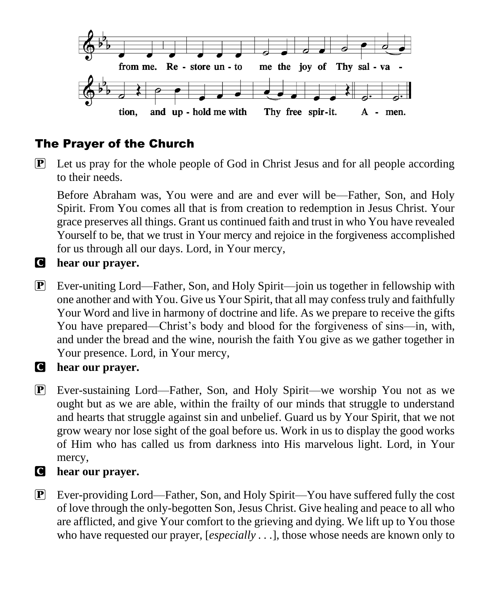

# The Prayer of the Church

 $\boxed{\mathbf{P}}$  Let us pray for the whole people of God in Christ Jesus and for all people according to their needs.

Before Abraham was, You were and are and ever will be—Father, Son, and Holy Spirit. From You comes all that is from creation to redemption in Jesus Christ. Your grace preserves all things. Grant us continued faith and trust in who You have revealed Yourself to be, that we trust in Your mercy and rejoice in the forgiveness accomplished for us through all our days. Lord, in Your mercy,

#### C **hear our prayer.**

P Ever-uniting Lord—Father, Son, and Holy Spirit—join us together in fellowship with one another and with You. Give us Your Spirit, that all may confess truly and faithfully Your Word and live in harmony of doctrine and life. As we prepare to receive the gifts You have prepared—Christ's body and blood for the forgiveness of sins—in, with, and under the bread and the wine, nourish the faith You give as we gather together in Your presence. Lord, in Your mercy,

#### C **hear our prayer.**

P Ever-sustaining Lord—Father, Son, and Holy Spirit—we worship You not as we ought but as we are able, within the frailty of our minds that struggle to understand and hearts that struggle against sin and unbelief. Guard us by Your Spirit, that we not grow weary nor lose sight of the goal before us. Work in us to display the good works of Him who has called us from darkness into His marvelous light. Lord, in Your mercy,

#### C **hear our prayer.**

P Ever-providing Lord—Father, Son, and Holy Spirit—You have suffered fully the cost of love through the only-begotten Son, Jesus Christ. Give healing and peace to all who are afflicted, and give Your comfort to the grieving and dying. We lift up to You those who have requested our prayer, [*especially . . .*], those whose needs are known only to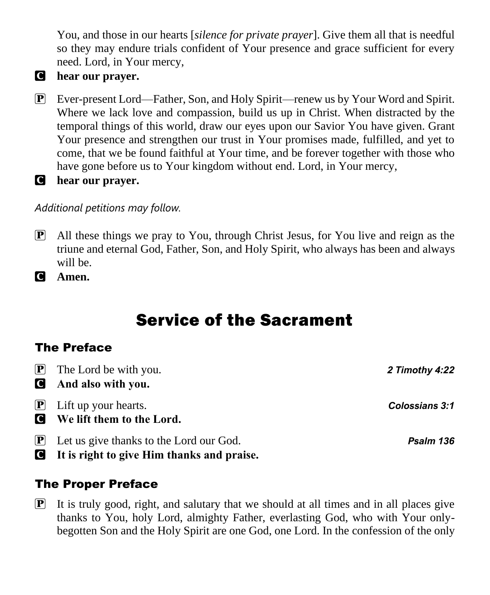You, and those in our hearts [*silence for private prayer*]. Give them all that is needful so they may endure trials confident of Your presence and grace sufficient for every need. Lord, in Your mercy,

### C **hear our prayer.**

- P Ever-present Lord—Father, Son, and Holy Spirit—renew us by Your Word and Spirit. Where we lack love and compassion, build us up in Christ. When distracted by the temporal things of this world, draw our eyes upon our Savior You have given. Grant Your presence and strengthen our trust in Your promises made, fulfilled, and yet to come, that we be found faithful at Your time, and be forever together with those who have gone before us to Your kingdom without end. Lord, in Your mercy,
- C **hear our prayer.**

#### *Additional petitions may follow.*

- P All these things we pray to You, through Christ Jesus, for You live and reign as the triune and eternal God, Father, Son, and Holy Spirit, who always has been and always will be.
- C **Amen.**

# Service of the Sacrament

# The Preface

| $\boxed{\mathbf{P}}$ The Lord be with you.                                                                                                                                                                                                                                                     | 2 Timothy 4:22        |
|------------------------------------------------------------------------------------------------------------------------------------------------------------------------------------------------------------------------------------------------------------------------------------------------|-----------------------|
| <b>And also with you.</b>                                                                                                                                                                                                                                                                      |                       |
| $\left[\mathbf{P}\right]$ Lift up your hearts.<br><b>Q</b> We lift them to the Lord.                                                                                                                                                                                                           | <b>Colossians 3:1</b> |
| $\boxed{\mathbf{P}}$ Let us give thanks to the Lord our God.<br>the second contract of the contract of the contract of the contract of the contract of the contract of the contract of the contract of the contract of the contract of the contract of the contract of the contract of the con | Psalm 136             |

C **It is right to give Him thanks and praise.** 

# The Proper Preface

 $\mathbf{P}$  It is truly good, right, and salutary that we should at all times and in all places give thanks to You, holy Lord, almighty Father, everlasting God, who with Your onlybegotten Son and the Holy Spirit are one God, one Lord. In the confession of the only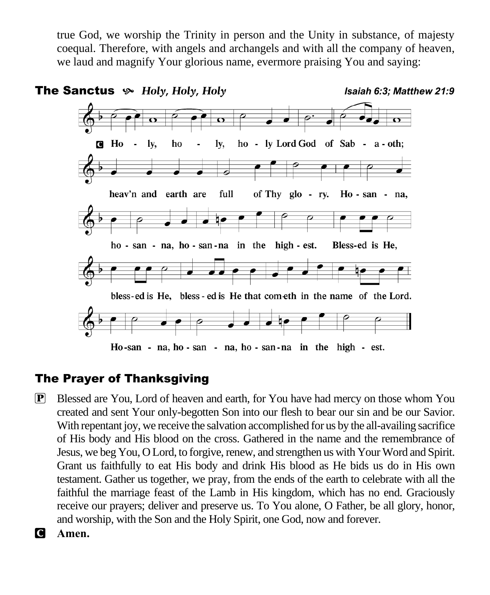true God, we worship the Trinity in person and the Unity in substance, of majesty coequal. Therefore, with angels and archangels and with all the company of heaven, we laud and magnify Your glorious name, evermore praising You and saying:



## The Prayer of Thanksgiving

- P Blessed are You, Lord of heaven and earth, for You have had mercy on those whom You created and sent Your only-begotten Son into our flesh to bear our sin and be our Savior. With repentant joy, we receive the salvation accomplished for us by the all-availing sacrifice of His body and His blood on the cross. Gathered in the name and the remembrance of Jesus, we beg You, O Lord, to forgive, renew, and strengthen us with Your Word and Spirit. Grant us faithfully to eat His body and drink His blood as He bids us do in His own testament. Gather us together, we pray, from the ends of the earth to celebrate with all the faithful the marriage feast of the Lamb in His kingdom, which has no end. Graciously receive our prayers; deliver and preserve us. To You alone, O Father, be all glory, honor, and worship, with the Son and the Holy Spirit, one God, now and forever.
- C **Amen.**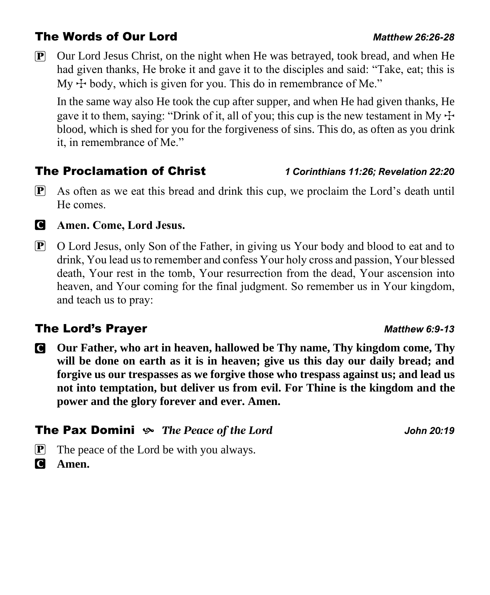## The Words of Our Lord *Matthew 26:26-28*

P Our Lord Jesus Christ, on the night when He was betrayed, took bread, and when He had given thanks, He broke it and gave it to the disciples and said: "Take, eat; this is My  $\pm$  body, which is given for you. This do in remembrance of Me."

In the same way also He took the cup after supper, and when He had given thanks, He gave it to them, saying: "Drink of it, all of you; this cup is the new testament in My  $\pm$ blood, which is shed for you for the forgiveness of sins. This do, as often as you drink it, in remembrance of Me."

## The Proclamation of Christ *1 Corinthians 11:26; Revelation 22:20*

P As often as we eat this bread and drink this cup, we proclaim the Lord's death until He comes.



#### C **Amen. Come, Lord Jesus.**

P O Lord Jesus, only Son of the Father, in giving us Your body and blood to eat and to drink, You lead us to remember and confess Your holy cross and passion, Your blessed death, Your rest in the tomb, Your resurrection from the dead, Your ascension into heaven, and Your coming for the final judgment. So remember us in Your kingdom, and teach us to pray:

### **The Lord's Prayer** *Matthew 6:9-13* Matthew 6:9-13

C **Our Father, who art in heaven, hallowed be Thy name, Thy kingdom come, Thy will be done on earth as it is in heaven; give us this day our daily bread; and forgive us our trespasses as we forgive those who trespass against us; and lead us not into temptation, but deliver us from evil. For Thine is the kingdom and the power and the glory forever and ever. Amen.**

#### **The Pax Domini**  $\gg$  The Peace of the Lord *John 20:19*

- $\mathbf{P}$  The peace of the Lord be with you always.
- C **Amen.**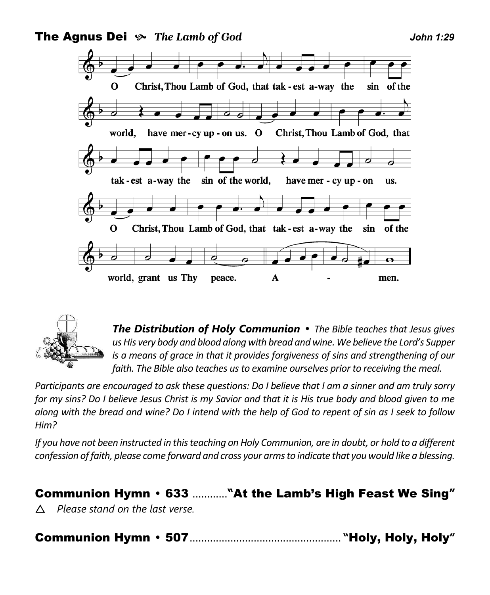





*The Distribution of Holy Communion The Bible teaches that Jesus gives us His very body and blood along with bread and wine. We believe the Lord's Supper is a means of grace in that it provides forgiveness of sins and strengthening of our faith. The Bible also teaches us to examine ourselves prior to receiving the meal.* 

*Participants are encouraged to ask these questions: Do I believe that I am a sinner and am truly sorry for my sins? Do I believe Jesus Christ is my Savior and that it is His true body and blood given to me along with the bread and wine? Do I intend with the help of God to repent of sin as I seek to follow Him?* 

*If you have not been instructed in this teaching on Holy Communion, are in doubt, or hold to a different confession of faith, please come forward and cross your arms to indicate that you would like a blessing.* 

## Communion Hymn 633 ............**"**At the Lamb's High Feast We Sing**"**

*Please stand on the last verse.* 

Communion Hymn 507.................................................... **"**Holy, Holy, Holy**"**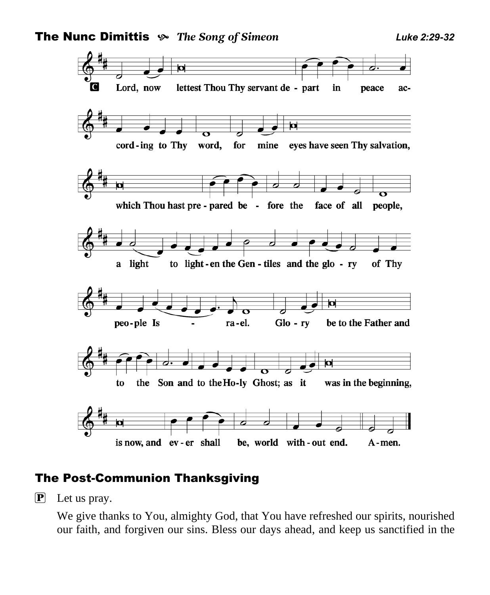

#### The Post-Communion Thanksgiving

P Let us pray.

We give thanks to You, almighty God, that You have refreshed our spirits, nourished our faith, and forgiven our sins. Bless our days ahead, and keep us sanctified in the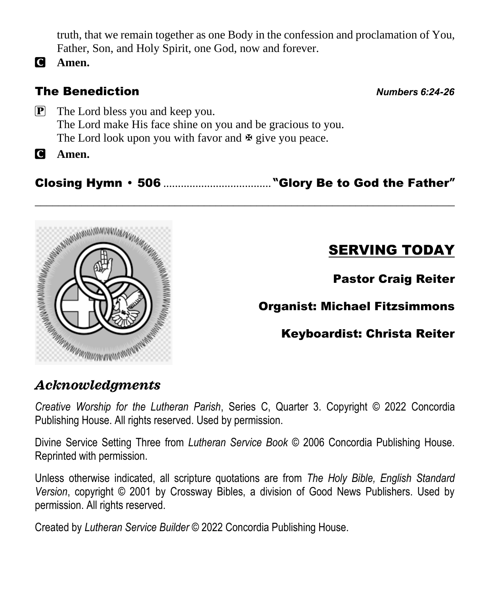truth, that we remain together as one Body in the confession and proclamation of You, Father, Son, and Holy Spirit, one God, now and forever.

C **Amen.**

# The Benediction *Numbers 6:24-26*

P The Lord bless you and keep you. The Lord make His face shine on you and be gracious to you. The Lord look upon you with favor and  $\Phi$  give you peace.

C **Amen.**

Closing Hymn 506 ..................................... **"**Glory Be to God the Father**"** \_\_\_\_\_\_\_\_\_\_\_\_\_\_\_\_\_\_\_\_\_\_\_\_\_\_\_\_\_\_\_\_\_\_\_\_\_\_\_\_\_\_\_\_\_\_\_\_\_\_\_\_\_\_\_\_\_\_\_\_\_\_\_\_\_\_\_\_\_\_\_\_



# SERVING TODAY

Pastor Craig Reiter

Organist: Michael Fitzsimmons

Keyboardist: Christa Reiter

# *Acknowledgments*

*Creative Worship for the Lutheran Parish*, Series C, Quarter 3. Copyright © 2022 Concordia Publishing House. All rights reserved. Used by permission.

Divine Service Setting Three from *Lutheran Service Book* © 2006 Concordia Publishing House. Reprinted with permission.

Unless otherwise indicated, all scripture quotations are from *The Holy Bible, English Standard Version*, copyright © 2001 by Crossway Bibles, a division of Good News Publishers. Used by permission. All rights reserved.

Created by *Lutheran Service Builder* © 2022 Concordia Publishing House.